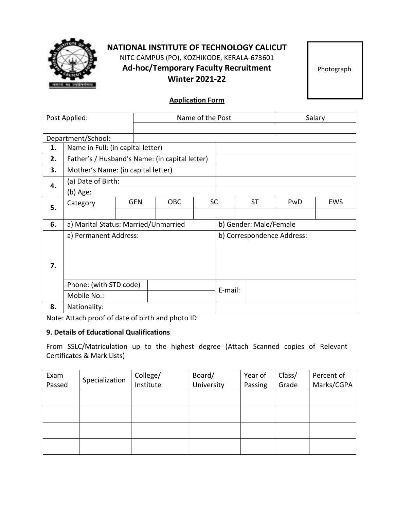

# **NATIONAL INSTITUTE OF TECHNOLOGY CALICUT** NITC CAMPUS (PO), KOZHIKODE, KERALA-673601 **Ad-hoc/Temporary Faculty Recruitment Winter 2021-22**

Photograph

# **Application Form**

| Post Applied: |                                                |            | Name of the Post |                            |                        |           | Salary |     |
|---------------|------------------------------------------------|------------|------------------|----------------------------|------------------------|-----------|--------|-----|
|               |                                                |            |                  |                            |                        |           |        |     |
|               | Department/School:                             |            |                  |                            |                        |           |        |     |
| 1.            | Name in Full: (in capital letter)              |            |                  |                            |                        |           |        |     |
| 2.            | Father's / Husband's Name: (in capital letter) |            |                  |                            |                        |           |        |     |
| 3.            | Mother's Name: (in capital letter)             |            |                  |                            |                        |           |        |     |
| 4.            | (a) Date of Birth:                             |            |                  |                            |                        |           |        |     |
|               | (b) Age:                                       |            |                  |                            |                        |           |        |     |
| 5.            | Category                                       | <b>GEN</b> | <b>OBC</b>       | <b>SC</b>                  |                        | <b>ST</b> | PwD    | EWS |
|               |                                                |            |                  |                            |                        |           |        |     |
| 6.            | a) Marital Status: Married/Unmarried           |            |                  |                            | b) Gender: Male/Female |           |        |     |
|               | a) Permanent Address:                          |            |                  | b) Correspondence Address: |                        |           |        |     |
|               |                                                |            |                  |                            |                        |           |        |     |
|               |                                                |            |                  |                            |                        |           |        |     |
| 7.            |                                                |            |                  |                            |                        |           |        |     |
|               |                                                |            |                  |                            |                        |           |        |     |
|               | Phone: (with STD code)                         |            |                  |                            | E-mail:                |           |        |     |
|               | Mobile No.:                                    |            |                  |                            |                        |           |        |     |
| 8.            | Nationality:                                   |            |                  |                            |                        |           |        |     |

Note: Attach proof of date of birth and photo ID

#### **9. Details of Educational Qualifications**

From SSLC/Matriculation up to the highest degree (Attach Scanned copies of Relevant Certificates & Mark Lists)

| Exam   | Specialization | College/  | Board/     | Year of | Class/ | Percent of |  |
|--------|----------------|-----------|------------|---------|--------|------------|--|
| Passed |                | Institute | University | Passing | Grade  | Marks/CGPA |  |
|        |                |           |            |         |        |            |  |
|        |                |           |            |         |        |            |  |
|        |                |           |            |         |        |            |  |
|        |                |           |            |         |        |            |  |
|        |                |           |            |         |        |            |  |
|        |                |           |            |         |        |            |  |
|        |                |           |            |         |        |            |  |
|        |                |           |            |         |        |            |  |